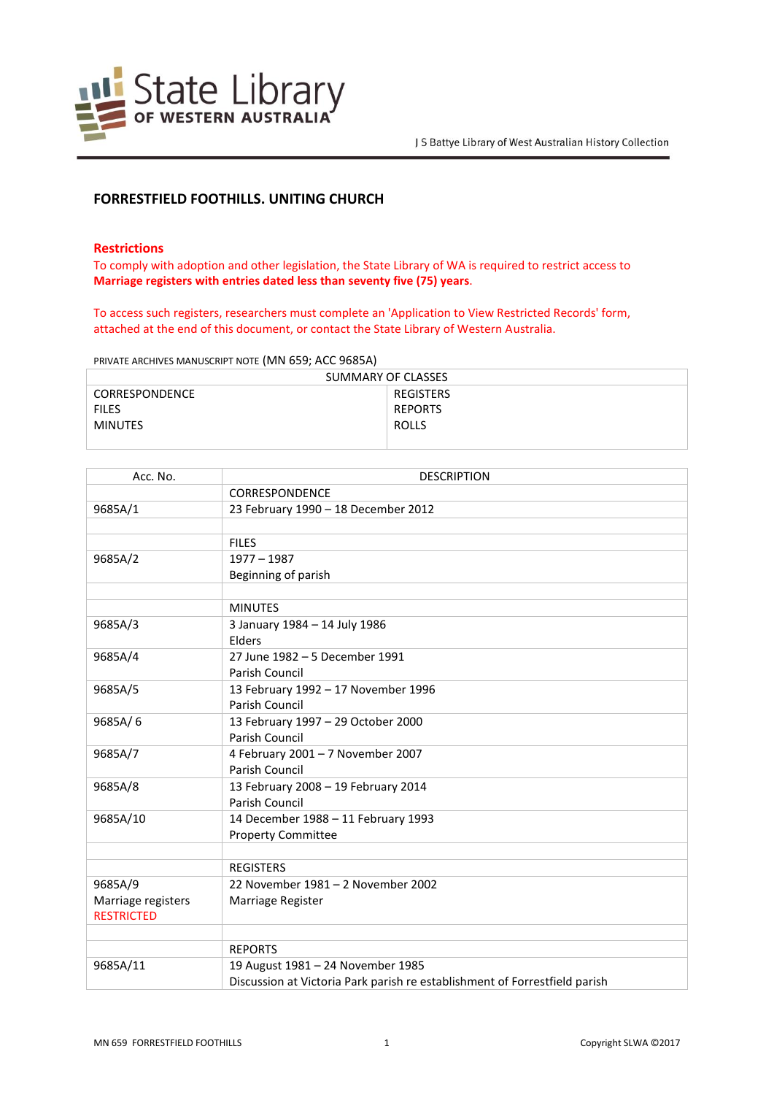

# **FORRESTFIELD FOOTHILLS. UNITING CHURCH**

### **Restrictions**

To comply with adoption and other legislation, the State Library of WA is required to restrict access to **Marriage registers with entries dated less than seventy five (75) years**.

To access such registers, researchers must complete an 'Application to View Restricted Records' form, attached at the end of this document, or contact the State Library of Western Australia.

PRIVATE ARCHIVES MANUSCRIPT NOTE (MN 659; ACC 9685A)

| SUMMARY OF CLASSES    |                |  |
|-----------------------|----------------|--|
| <b>CORRESPONDENCE</b> | REGISTERS      |  |
| <b>FILES</b>          | <b>REPORTS</b> |  |
| MINUTES               | <b>ROLLS</b>   |  |
|                       |                |  |

| Acc. No.                                | <b>DESCRIPTION</b>                                                         |
|-----------------------------------------|----------------------------------------------------------------------------|
|                                         | CORRESPONDENCE                                                             |
| 9685A/1                                 | 23 February 1990 - 18 December 2012                                        |
|                                         |                                                                            |
|                                         | <b>FILES</b>                                                               |
| 9685A/2                                 | $1977 - 1987$                                                              |
|                                         | Beginning of parish                                                        |
|                                         |                                                                            |
|                                         | <b>MINUTES</b>                                                             |
| 9685A/3                                 | 3 January 1984 - 14 July 1986                                              |
|                                         | Elders                                                                     |
| 9685A/4                                 | 27 June 1982 - 5 December 1991                                             |
|                                         | Parish Council                                                             |
| 9685A/5                                 | 13 February 1992 - 17 November 1996                                        |
|                                         | Parish Council                                                             |
| 9685A/6                                 | 13 February 1997 - 29 October 2000                                         |
|                                         | Parish Council                                                             |
| 9685A/7                                 | 4 February 2001 - 7 November 2007                                          |
|                                         | Parish Council                                                             |
| 9685A/8                                 | 13 February 2008 - 19 February 2014                                        |
|                                         | Parish Council                                                             |
| 9685A/10                                | 14 December 1988 - 11 February 1993                                        |
|                                         | <b>Property Committee</b>                                                  |
|                                         |                                                                            |
|                                         | <b>REGISTERS</b>                                                           |
| 9685A/9                                 | 22 November 1981 - 2 November 2002                                         |
| Marriage registers<br><b>RESTRICTED</b> | Marriage Register                                                          |
|                                         |                                                                            |
|                                         | <b>REPORTS</b>                                                             |
| 9685A/11                                | 19 August 1981 - 24 November 1985                                          |
|                                         | Discussion at Victoria Park parish re establishment of Forrestfield parish |
|                                         |                                                                            |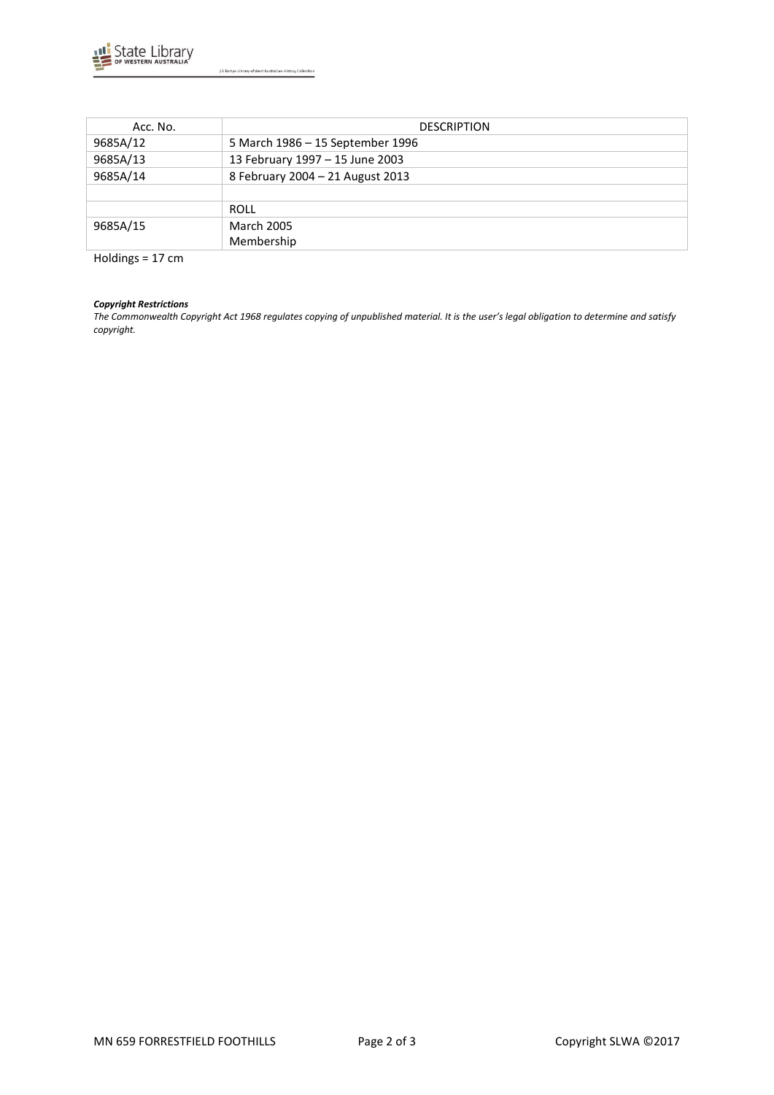

| Acc. No. | <b>DESCRIPTION</b>               |
|----------|----------------------------------|
| 9685A/12 | 5 March 1986 - 15 September 1996 |
| 9685A/13 | 13 February 1997 - 15 June 2003  |
| 9685A/14 | 8 February 2004 - 21 August 2013 |
|          |                                  |
|          | ROLL                             |
| 9685A/15 | <b>March 2005</b>                |
|          | Membership                       |

Holdings = 17 cm

### *Copyright Restrictions*

*The Commonwealth Copyright Act 1968 regulates copying of unpublished material. It is the user's legal obligation to determine and satisfy copyright.*